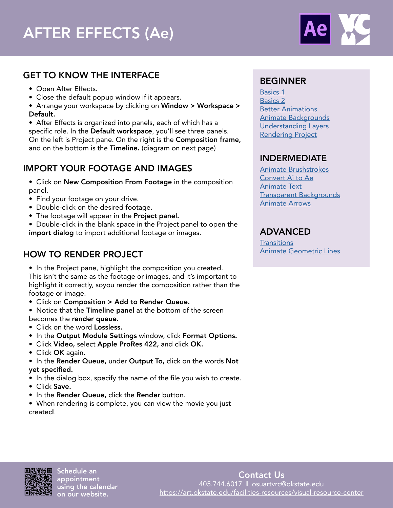

## GET TO KNOW THE INTERFACE

- Open After Effects.
- Close the default popup window if it appears.

• Arrange your workspace by clicking on Window > Workspace > Default.

• After Effects is organized into panels, each of which has a specific role. In the Default workspace, you'll see three panels. On the left is Project pane. On the right is the Composition frame, and on the bottom is the Timeline. (diagram on next page)

# IMPORT YOUR FOOTAGE AND IMAGES

• Click on New Composition From Footage in the composition panel.

- Find your footage on your drive.
- Double-click on the desired footage.
- The footage will appear in the Project panel.

• Double-click in the blank space in the Project panel to open the import dialog to import additional footage or images.

# HOW TO RENDER PROJECT

• In the Project pane, highlight the composition you created.

This isn't the same as the footage or images, and it's important to highlight it correctly, soyou render the composition rather than the footage or image.

• Click on Composition > Add to Render Queue.

• Notice that the Timeline panel at the bottom of the screen becomes the render queue.

- Click on the word Lossless.
- In the Output Module Settings window, click Format Options.
- Click Video, select Apple ProRes 422, and click OK.
- Click OK again.

• In the Render Queue, under Output To, click on the words Not yet specified.

- In the dialog box, specify the name of the file you wish to create.
- Click Save.
- In the Render Queue, click the Render button.
- When rendering is complete, you can view the movie you just created!

### BEGINNER

[Basics 1](https://helpx.adobe.com/after-effects/how-to/getting-started-after-effects.html) [Basics 2](https://motionarray.com/learn/after-effects/after-effects-animation/) **[Better Animations](https://motionarray.com/learn/after-effects/how-to-easily-create-better-animations-in-adobe-after-effects/)** [Animate Backgrounds](https://helpx.adobe.com/after-effects/how-to/create-animated-background.html) [Understanding Layers](https://helpx.adobe.com/after-effects/how-to/understanding-layers-composition.html) [Rendering Project](https://helpx.adobe.com/after-effects/how-to/render-video-composition.html)

# INDERMEDIATE

[Animate Brushstrokes](https://helpx.adobe.com/after-effects/how-to/animated-paint-brush-strokes.html) [Convert Ai to Ae](https://helpx.adobe.com/after-effects/how-to/convert-illustrator-layers-to-shape-layers.html) [Animate Text](https://helpx.adobe.com/after-effects/how-to/creating-animating-text.html) [Transparent Backgrounds](https://motionarray.com/learn/after-effects/quick-guide-to-transparent-background-in-after-effects/) [Animate Arrows](https://motionarray.com/learn/after-effects/how-to-create-animated-arrows-in-after-effects/)

# ADVANCED

**[Transitions](https://helpx.adobe.com/after-effects/how-to/create-custom-transitions.html)** [Animate Geometric Lines](https://motionarray.com/learn/after-effects/geometric-lines-after-effects/)



Schedule an appointment using the calendar on our website.

Contact Us 405.744.6017 l osuartvrc@okstate.edu <https://art.okstate.edu/facilities-resources/visual-resource-center>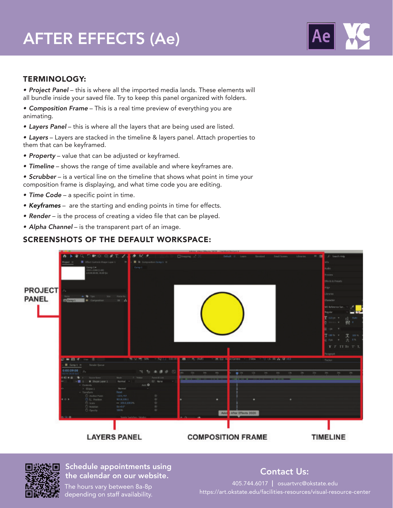# AFTER EFFECTS (Ae)



#### TERMINOLOGY:

*• Project Panel* – this is where all the imported media lands. These elements will all bundle inside your saved file. Try to keep this panel organized with folders.

• Composition Frame – This is a real time preview of everything you are animating.

*• Layers Panel* – this is where all the layers that are being used are listed.

• Layers – Layers are stacked in the timeline & layers panel. Attach properties to them that can be keyframed.

- Property value that can be adjusted or keyframed.
- *Timeline* shows the range of time available and where keyframes are.
- *Scrubber* is a vertical line on the timeline that shows what point in time your composition frame is displaying, and what time code you are editing.
- *Time Code* a specific point in time.
- Keyframes are the starting and ending points in time for effects.
- **Render** is the process of creating a video file that can be played.
- **Alpha Channel** is the transparent part of an image.

### SCREENSHOTS OF THE DEFAULT WORKSPACE:





#### ourceast appointments assigned that the calendar on our website. The calendar on our website. Schedule appointments using

The hours vary between 8a-8p depending on staff availability.

405.744.6017 l osuartvrc@okstate.edu https://art.okstate.edu/facilities-resources/visual-resource-center